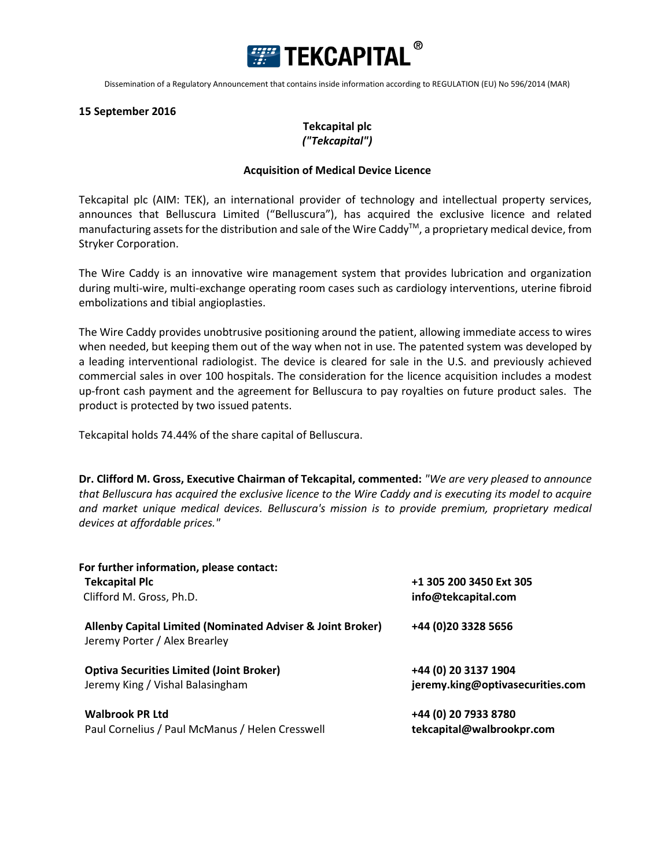

Dissemination of a Regulatory Announcement that contains inside information according to REGULATION (EU) No 596/2014 (MAR)

## **15 September 2016**

## **Tekcapital plc** *("Tekcapital")*

## **Acquisition of Medical Device Licence**

Tekcapital plc (AIM: TEK), an international provider of technology and intellectual property services, announces that Belluscura Limited ("Belluscura"), has acquired the exclusive licence and related manufacturing assets for the distribution and sale of the Wire Caddy<sup>™</sup>, a proprietary medical device, from Stryker Corporation.

The Wire Caddy is an innovative wire management system that provides lubrication and organization during multi-wire, multi-exchange operating room cases such as cardiology interventions, uterine fibroid embolizations and tibial angioplasties.

The Wire Caddy provides unobtrusive positioning around the patient, allowing immediate access to wires when needed, but keeping them out of the way when not in use. The patented system was developed by a leading interventional radiologist. The device is cleared for sale in the U.S. and previously achieved commercial sales in over 100 hospitals. The consideration for the licence acquisition includes a modest up-front cash payment and the agreement for Belluscura to pay royalties on future product sales. The product is protected by two issued patents.

Tekcapital holds 74.44% of the share capital of Belluscura.

**Dr. Clifford M. Gross, Executive Chairman of Tekcapital, commented:** *"We are very pleased to announce that Belluscura has acquired the exclusive licence to the Wire Caddy and is executing its model to acquire and market unique medical devices. Belluscura's mission is to provide premium, proprietary medical devices at affordable prices."*

| For further information, please contact:                                                    | +1 305 200 3450 Ext 305          |
|---------------------------------------------------------------------------------------------|----------------------------------|
| <b>Tekcapital Plc</b>                                                                       |                                  |
| Clifford M. Gross, Ph.D.                                                                    | info@tekcapital.com              |
| Allenby Capital Limited (Nominated Adviser & Joint Broker)<br>Jeremy Porter / Alex Brearley | +44 (0) 20 3328 5656             |
| <b>Optiva Securities Limited (Joint Broker)</b>                                             | +44 (0) 20 3137 1904             |
| Jeremy King / Vishal Balasingham                                                            | jeremy.king@optivasecurities.com |
| <b>Walbrook PR Ltd</b>                                                                      | +44 (0) 20 7933 8780             |
| Paul Cornelius / Paul McManus / Helen Cresswell                                             | tekcapital@walbrookpr.com        |